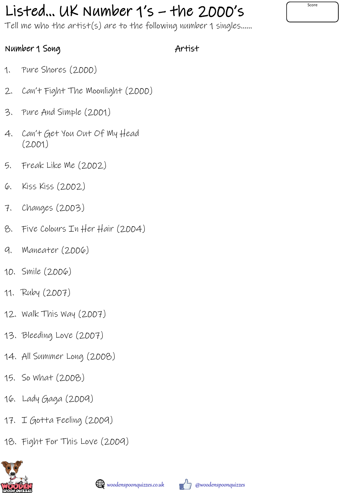## Listed... UK Number  $1's$  – the 2000's  $\int$

Tell me who the artist(s) are to the following number 1 singles……

## Number 1 Song

Artist

- 1. Pure Shores (2000)
- 2. Can't Fight The Moonlight (2000)
- 3. Pure And Simple (2001)
- 4. Can't Get You Out Of My Head (2001)
- 5. Freak Like Me (2002)
- 6. Kiss Kiss (2002)
- 7. Changes (2003)
- 8. Five Colours In Her Hair (2004)
- 9. Maneater (2006)
- 10. Smile (2006)
- 11. Ruby (2007)
- 12. Walk This Way (2007)
- 13. Bleeding Love (2007)
- 14. All Summer Long (2008)
- 15. So What (2008)
- 16. Lady Gaga (2009)
- 17. I Gotta Feeling (2009)
- 18. Fight For This Love (2009)